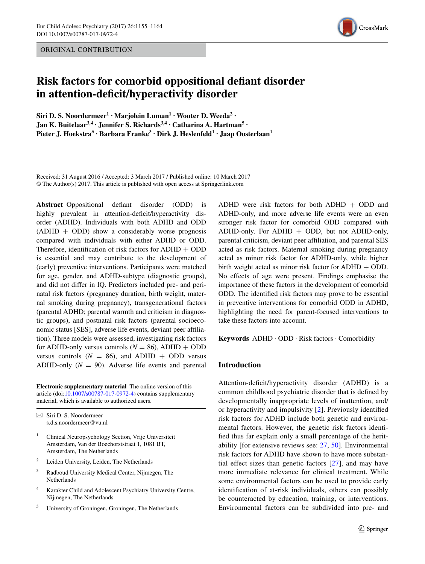ORIGINAL CONTRIBUTION



# **Risk factors for comorbid oppositional defant disorder in** attention-deficit/hyperactivity disorder

 $Siri$  **D.**  $S$ . Noordermeer<sup>1</sup>  $\cdot$ </sup> Marjolein  $Luman$ <sup>1</sup>  $\cdot$  Wouter **D.** Weeda<sup>2</sup>  $\cdot$ **Jan K. Buitelaar3,4 · Jennifer S. Richards3,4 · Catharina A. Hartman5 · Pieter J. Hoekstra<sup>5</sup> · Barbara Franke<sup>3</sup> · Dirk J. Heslenfeld1 · Jaap Oosterlaan1**

Received: 31 August 2016 / Accepted: 3 March 2017 / Published online: 10 March 2017 © The Author(s) 2017. This article is published with open access at Springerlink.com

**Abstract** Oppositional defant disorder (ODD) is highly prevalent in attention-deficit/hyperactivity disorder (ADHD). Individuals with both ADHD and ODD  $(ADHD + ODD)$  show a considerably worse prognosis compared with individuals with either ADHD or ODD. Therefore, identification of risk factors for  $ADHD + ODD$ is essential and may contribute to the development of (early) preventive interventions. Participants were matched for age, gender, and ADHD-subtype (diagnostic groups), and did not differ in IQ. Predictors included pre- and perinatal risk factors (pregnancy duration, birth weight, maternal smoking during pregnancy), transgenerational factors (parental ADHD; parental warmth and criticism in diagnostic groups), and postnatal risk factors (parental socioeconomic status [SES], adverse life events, deviant peer affliation). Three models were assessed, investigating risk factors for ADHD-only versus controls  $(N = 86)$ , ADHD + ODD versus controls  $(N = 86)$ , and ADHD + ODD versus ADHD-only  $(N = 90)$ . Adverse life events and parental

**Electronic supplementary material** The online version of this article (doi[:10.1007/s00787-017-0972-4](http://dx.doi.org/10.1007/s00787-017-0972-4)) contains supplementary material, which is available to authorized users.

 $\boxtimes$  Siri D. S. Noordermeer s.d.s.noordermeer@vu.nl

- <sup>1</sup> Clinical Neuropsychology Section, Vrije Universiteit Amsterdam, Van der Boechorststraat 1, 1081 BT, Amsterdam, The Netherlands
- <sup>2</sup> Leiden University, Leiden, The Netherlands
- <sup>3</sup> Radboud University Medical Center, Nijmegen, The Netherlands
- <sup>4</sup> Karakter Child and Adolescent Psychiatry University Centre, Nijmegen, The Netherlands
- <sup>5</sup> University of Groningen, Groningen, The Netherlands

ADHD were risk factors for both  $ADHD + ODD$  and ADHD-only, and more adverse life events were an even stronger risk factor for comorbid ODD compared with ADHD-only. For ADHD  $+$  ODD, but not ADHD-only, parental criticism, deviant peer affliation, and parental SES acted as risk factors. Maternal smoking during pregnancy acted as minor risk factor for ADHD-only, while higher birth weight acted as minor risk factor for ADHD + ODD. No effects of age were present. Findings emphasise the importance of these factors in the development of comorbid ODD. The identifed risk factors may prove to be essential in preventive interventions for comorbid ODD in ADHD, highlighting the need for parent-focused interventions to take these factors into account.

**Keywords** ADHD · ODD · Risk factors · Comorbidity

## **Introduction**

Attention-deficit/hyperactivity disorder (ADHD) is a common childhood psychiatric disorder that is defned by developmentally inappropriate levels of inattention, and/ or hyperactivity and impulsivity [[2](#page-8-0)]. Previously identifed risk factors for ADHD include both genetic and environmental factors. However, the genetic risk factors identifed thus far explain only a small percentage of the heritability [for extensive reviews see: [27,](#page-9-0) [50\]](#page-9-1). Environmental risk factors for ADHD have shown to have more substantial effect sizes than genetic factors [[27](#page-9-0)], and may have more immediate relevance for clinical treatment. While some environmental factors can be used to provide early identifcation of at-risk individuals, others can possibly be counteracted by education, training, or interventions. Environmental factors can be subdivided into pre- and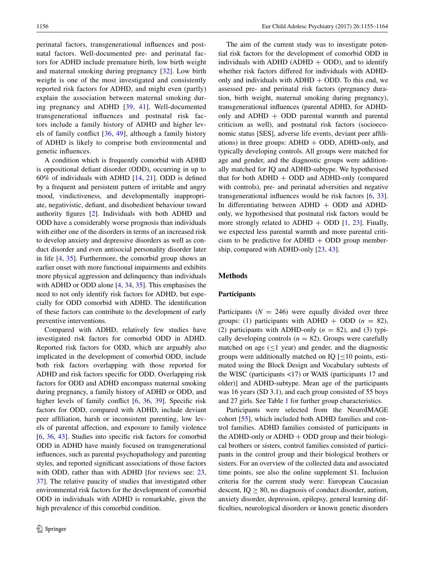perinatal factors, transgenerational infuences and postnatal factors. Well-documented pre- and perinatal factors for ADHD include premature birth, low birth weight and maternal smoking during pregnancy [[32](#page-9-2)]. Low birth weight is one of the most investigated and consistently reported risk factors for ADHD, and might even (partly) explain the association between maternal smoking during pregnancy and ADHD [\[39,](#page-9-3) [41\]](#page-9-4). Well-documented transgenerational infuences and postnatal risk factors include a family history of ADHD and higher levels of family confict [\[36,](#page-9-5) [49\]](#page-9-6), although a family history of ADHD is likely to comprise both environmental and genetic infuences.

A condition which is frequently comorbid with ADHD is oppositional defant disorder (ODD), occurring in up to 60% of individuals with ADHD [[14,](#page-8-1) [21\]](#page-9-7). ODD is defned by a frequent and persistent pattern of irritable and angry mood, vindictiveness, and developmentally inappropriate, negativistic, defant, and disobedient behaviour toward authority fgures [\[2](#page-8-0)]. Individuals with both ADHD and ODD have a considerably worse prognosis than individuals with either one of the disorders in terms of an increased risk to develop anxiety and depressive disorders as well as conduct disorder and even antisocial personality disorder later in life [\[4](#page-8-2), [35\]](#page-9-8). Furthermore, the comorbid group shows an earlier onset with more functional impairments and exhibits more physical aggression and delinquency than individuals with ADHD or ODD alone [\[4](#page-8-2), [34](#page-9-9), [35](#page-9-8)]. This emphasises the need to not only identify risk factors for ADHD, but especially for ODD comorbid with ADHD. The identifcation of these factors can contribute to the development of early preventive interventions.

Compared with ADHD, relatively few studies have investigated risk factors for comorbid ODD in ADHD. Reported risk factors for ODD, which are arguably also implicated in the development of comorbid ODD, include both risk factors overlapping with those reported for ADHD and risk factors specifc for ODD. Overlapping risk factors for ODD and ADHD encompass maternal smoking during pregnancy, a family history of ADHD or ODD, and higher levels of family conflict [[6,](#page-8-3) [36,](#page-9-5) [39](#page-9-3)]. Specific risk factors for ODD, compared with ADHD, include deviant peer affliation, harsh or inconsistent parenting, low levels of parental affection, and exposure to family violence [\[6](#page-8-3), [36](#page-9-5), [43](#page-9-10)]. Studies into specific risk factors for comorbid ODD in ADHD have mainly focused on transgenerational infuences, such as parental psychopathology and parenting styles, and reported signifcant associations of those factors with ODD, rather than with ADHD [for reviews see: [23,](#page-9-11) [37](#page-9-12)]. The relative paucity of studies that investigated other environmental risk factors for the development of comorbid ODD in individuals with ADHD is remarkable, given the high prevalence of this comorbid condition.

The aim of the current study was to investigate potential risk factors for the development of comorbid ODD in individuals with ADHD (ADHD  $+$  ODD), and to identify whether risk factors differed for individuals with ADHDonly and individuals with  $ADHD + ODD$ . To this end, we assessed pre- and perinatal risk factors (pregnancy duration, birth weight, maternal smoking during pregnancy), transgenerational infuences (parental ADHD, for ADHDonly and  $ADHD + ODD$  parental warmth and parental criticism as well), and postnatal risk factors (socioeconomic status [SES], adverse life events, deviant peer affliations) in three groups:  $ADHD + ODD$ ,  $ADHD$ -only, and typically developing controls. All groups were matched for age and gender, and the diagnostic groups were additionally matched for IQ and ADHD-subtype. We hypothesised that for both  $ADHD + ODD$  and  $ADHD$ -only (compared with controls), pre- and perinatal adversities and negative transgenerational infuences would be risk factors [\[6](#page-8-3), [33](#page-9-13)]. In differentiating between  $ADHD + ODD$  and  $ADHD$ only, we hypothesised that postnatal risk factors would be more strongly related to ADHD + ODD  $[1, 23]$  $[1, 23]$  $[1, 23]$  $[1, 23]$  $[1, 23]$ . Finally, we expected less parental warmth and more parental criticism to be predictive for  $ADHD + ODD$  group membership, compared with ADHD-only [\[23](#page-9-11), [43](#page-9-10)].

### **Methods**

#### **Participants**

Participants  $(N = 246)$  were equally divided over three groups: (1) participants with ADHD + ODD  $(n = 82)$ , (2) participants with ADHD-only  $(n = 82)$ , and (3) typically developing controls  $(n = 82)$ . Groups were carefully matched on age  $(\leq 1$  year) and gender, and the diagnostic groups were additionally matched on IQ  $\leq 10$  points, estimated using the Block Design and Vocabulary subtests of the WISC (participants <17) or WAIS (participants 17 and older)] and ADHD-subtype. Mean age of the participants was 16 years (SD 3.1), and each group consisted of 55 boys and 27 girls. See Table [1](#page-2-0) for further group characteristics.

Participants were selected from the NeuroIMAGE cohort [\[55](#page-9-14)], which included both ADHD families and control families. ADHD families consisted of participants in the ADHD-only or ADHD  $+$  ODD group and their biological brothers or sisters, control families consisted of participants in the control group and their biological brothers or sisters. For an overview of the collected data and associated time points, see also the online supplement S1. Inclusion criteria for the current study were: European Caucasian descent,  $IQ \geq 80$ , no diagnosis of conduct disorder, autism, anxiety disorder, depression, epilepsy, general learning diffculties, neurological disorders or known genetic disorders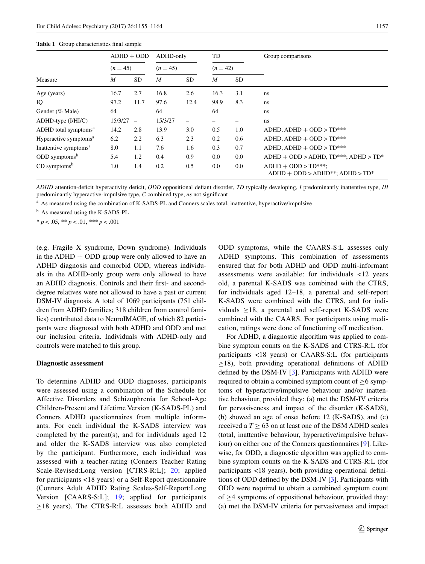#### <span id="page-2-0"></span>**Table 1** Group characteristics fnal sample

|                                   | $ADHD + ODD$<br>$(n = 45)$ |                          | ADHD-only<br>$(n = 45)$ |                          | TD<br>$(n = 42)$ |           | Group comparisons                                                 |  |  |
|-----------------------------------|----------------------------|--------------------------|-------------------------|--------------------------|------------------|-----------|-------------------------------------------------------------------|--|--|
|                                   |                            |                          |                         |                          |                  |           |                                                                   |  |  |
| Measure                           | $\boldsymbol{M}$           | <b>SD</b>                | M                       | <b>SD</b>                | $\boldsymbol{M}$ | <b>SD</b> |                                                                   |  |  |
| Age (years)                       | 16.7                       | 2.7                      | 16.8                    | 2.6                      | 16.3             | 3.1       | ns                                                                |  |  |
| IQ                                | 97.2                       | 11.7                     | 97.6                    | 12.4                     | 98.9             | 8.3       | ns                                                                |  |  |
| Gender (% Male)                   | 64                         |                          | 64                      |                          | 64               |           | ns                                                                |  |  |
| $ADHD$ -type $(I/HI/C)$           | 15/3/27                    | $\overline{\phantom{0}}$ | 15/3/27                 | $\overline{\phantom{0}}$ | —                |           | ns.                                                               |  |  |
| ADHD total symptoms <sup>a</sup>  | 14.2                       | 2.8                      | 13.9                    | 3.0                      | 0.5              | 1.0       | $ADHD$ , $ADHD + ODD > TD***$                                     |  |  |
| Hyperactive symptoms <sup>a</sup> | 6.2                        | 2.2                      | 6.3                     | 2.3                      | 0.2              | 0.6       | $ADHD$ , $ADHD + ODD > TD***$                                     |  |  |
| Inattentive symptoms <sup>a</sup> | 8.0                        | 1.1                      | 7.6                     | 1.6                      | 0.3              | 0.7       | $ADHD$ , $ADHD + ODD > TD***$                                     |  |  |
| $ODD$ symptoms <sup>b</sup>       | 5.4                        | 1.2                      | 0.4                     | 0.9                      | 0.0              | 0.0       | $ADHD + ODD > ADHD, TD***; ADHD > TD*$                            |  |  |
| $CD$ symptoms <sup>b</sup>        | 1.0                        | 1.4                      | 0.2                     | 0.5                      | 0.0              | 0.0       | $ADHD + ODD > TD***;$<br>$ADHD + ODD > ADHD^{**}$ ; $ADHD > TD^*$ |  |  |

*ADHD* attention-defcit hyperactivity defcit, *ODD* oppositional defant disorder, *TD* typically developing, *I* predominantly inattentive type, *HI* predominantly hyperactive-impulsive type, *C* combined type, *ns* not signifcant

<sup>a</sup> As measured using the combination of K-SADS-PL and Conners scales total, inattentive, hyperactive/impulsive

<sup>b</sup> As measured using the K-SADS-PL

\* *p* < .05, \*\* *p* < .01, *\*\*\* p* < .001

(e.g. Fragile X syndrome, Down syndrome). Individuals in the  $ADHD + ODD$  group were only allowed to have an ADHD diagnosis and comorbid ODD, whereas individuals in the ADHD-only group were only allowed to have an ADHD diagnosis. Controls and their frst- and seconddegree relatives were not allowed to have a past or current DSM-IV diagnosis. A total of 1069 participants (751 children from ADHD families; 318 children from control families) contributed data to NeuroIMAGE, of which 82 participants were diagnosed with both ADHD and ODD and met our inclusion criteria. Individuals with ADHD-only and controls were matched to this group.

#### **Diagnostic assessment**

To determine ADHD and ODD diagnoses, participants were assessed using a combination of the Schedule for Affective Disorders and Schizophrenia for School-Age Children-Present and Lifetime Version (K-SADS-PL) and Conners ADHD questionnaires from multiple informants. For each individual the K-SADS interview was completed by the parent(s), and for individuals aged 12 and older the K-SADS interview was also completed by the participant. Furthermore, each individual was assessed with a teacher-rating (Conners Teacher Rating Scale-Revised:Long version [CTRS-R:L]; [20](#page-8-5); applied for participants <18 years) or a Self-Report questionnaire (Conners Adult ADHD Rating Scales-Self-Report:Long Version [CAARS-S:L]; [19](#page-8-6); applied for participants ≥18 years). The CTRS-R:L assesses both ADHD and ODD symptoms, while the CAARS-S:L assesses only ADHD symptoms. This combination of assessments ensured that for both ADHD and ODD multi-informant assessments were available: for individuals <12 years old, a parental K-SADS was combined with the CTRS, for individuals aged 12–18, a parental and self-report K-SADS were combined with the CTRS, and for individuals  $\geq$ 18, a parental and self-report K-SADS were combined with the CAARS. For participants using medication, ratings were done of functioning off medication.

For ADHD, a diagnostic algorithm was applied to combine symptom counts on the K-SADS and CTRS-R:L (for participants <18 years) or CAARS-S:L (for participants  $\geq$ 18), both providing operational definitions of ADHD defned by the DSM-IV [[3\]](#page-8-7). Participants with ADHD were required to obtain a combined symptom count of  $\geq 6$  symptoms of hyperactive/impulsive behaviour and/or inattentive behaviour, provided they: (a) met the DSM-IV criteria for pervasiveness and impact of the disorder (K-SADS), (b) showed an age of onset before 12 (K-SADS), and (c) received a  $T \geq 63$  on at least one of the DSM ADHD scales (total, inattentive behaviour, hyperactive/impulsive behaviour) on either one of the Conners questionnaires [\[9](#page-8-8)]. Likewise, for ODD, a diagnostic algorithm was applied to combine symptom counts on the K-SADS and CTRS-R:L (for participants <18 years), both providing operational defnitions of ODD defned by the DSM-IV [[3\]](#page-8-7). Participants with ODD were required to obtain a combined symptom count of  $\geq$ 4 symptoms of oppositional behaviour, provided they: (a) met the DSM-IV criteria for pervasiveness and impact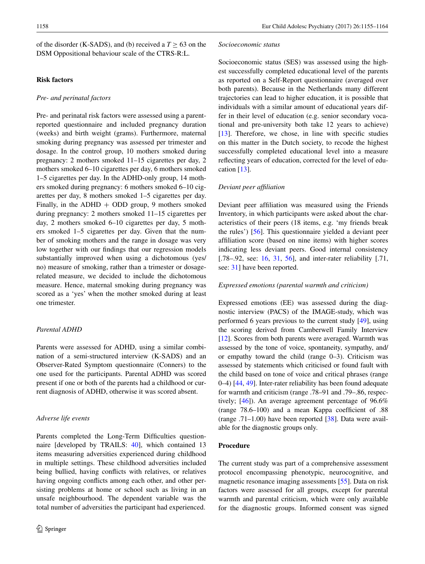of the disorder (K-SADS), and (b) received a  $T > 63$  on the DSM Oppositional behaviour scale of the CTRS-R:L.

## **Risk factors**

## *Pre‑ and perinatal factors*

Pre- and perinatal risk factors were assessed using a parentreported questionnaire and included pregnancy duration (weeks) and birth weight (grams). Furthermore, maternal smoking during pregnancy was assessed per trimester and dosage. In the control group, 10 mothers smoked during pregnancy: 2 mothers smoked 11–15 cigarettes per day, 2 mothers smoked 6–10 cigarettes per day, 6 mothers smoked 1–5 cigarettes per day. In the ADHD-only group, 14 mothers smoked during pregnancy: 6 mothers smoked 6–10 cigarettes per day, 8 mothers smoked 1–5 cigarettes per day. Finally, in the ADHD  $+$  ODD group, 9 mothers smoked during pregnancy: 2 mothers smoked 11–15 cigarettes per day, 2 mothers smoked 6–10 cigarettes per day, 5 mothers smoked 1–5 cigarettes per day. Given that the number of smoking mothers and the range in dosage was very low together with our fndings that our regression models substantially improved when using a dichotomous (yes/ no) measure of smoking, rather than a trimester or dosagerelated measure, we decided to include the dichotomous measure. Hence, maternal smoking during pregnancy was scored as a 'yes' when the mother smoked during at least one trimester.

### *Parental ADHD*

Parents were assessed for ADHD, using a similar combination of a semi-structured interview (K-SADS) and an Observer-Rated Symptom questionnaire (Conners) to the one used for the participants. Parental ADHD was scored present if one or both of the parents had a childhood or current diagnosis of ADHD, otherwise it was scored absent.

#### *Adverse life events*

Parents completed the Long-Term Difficulties questionnaire [developed by TRAILS: [40\]](#page-9-15), which contained 13 items measuring adversities experienced during childhood in multiple settings. These childhood adversities included being bullied, having conficts with relatives, or relatives having ongoing conficts among each other, and other persisting problems at home or school such as living in an unsafe neighbourhood. The dependent variable was the total number of adversities the participant had experienced.

#### *Socioeconomic status*

Socioeconomic status (SES) was assessed using the highest successfully completed educational level of the parents as reported on a Self-Report questionnaire (averaged over both parents). Because in the Netherlands many different trajectories can lead to higher education, it is possible that individuals with a similar amount of educational years differ in their level of education (e.g. senior secondary vocational and pre-university both take 12 years to achieve) [\[13](#page-8-9)]. Therefore, we chose, in line with specific studies on this matter in the Dutch society, to recode the highest successfully completed educational level into a measure refecting years of education, corrected for the level of education [\[13](#page-8-9)].

#### *Deviant peer affliation*

Deviant peer affliation was measured using the Friends Inventory, in which participants were asked about the characteristics of their peers (18 items, e.g. 'my friends break the rules') [\[56](#page-9-16)]. This questionnaire yielded a deviant peer affliation score (based on nine items) with higher scores indicating less deviant peers. Good internal consistency [.78–.92, see: [16](#page-8-10), [31,](#page-9-17) [56\]](#page-9-16), and inter-rater reliability [.71, see: [31](#page-9-17)] have been reported.

#### *Expressed emotions (parental warmth and criticism)*

Expressed emotions (EE) was assessed during the diagnostic interview (PACS) of the IMAGE-study, which was performed 6 years previous to the current study [\[49\]](#page-9-6), using the scoring derived from Camberwell Family Interview [\[12](#page-8-11)]. Scores from both parents were averaged. Warmth was assessed by the tone of voice, spontaneity, sympathy, and/ or empathy toward the child (range 0–3). Criticism was assessed by statements which criticised or found fault with the child based on tone of voice and critical phrases (range 0–4) [\[44](#page-9-18), [49\]](#page-9-6). Inter-rater reliability has been found adequate for warmth and criticism (range .78–91 and .79–.86, respectively; [[46\]](#page-9-19)). An average agreement percentage of 96.6% (range 78.6–100) and a mean Kappa coeffcient of .88 (range .71–1.00) have been reported [[38\]](#page-9-20). Data were available for the diagnostic groups only.

## **Procedure**

The current study was part of a comprehensive assessment protocol encompassing phenotypic, neurocognitive, and magnetic resonance imaging assessments [\[55](#page-9-14)]. Data on risk factors were assessed for all groups, except for parental warmth and parental criticism, which were only available for the diagnostic groups. Informed consent was signed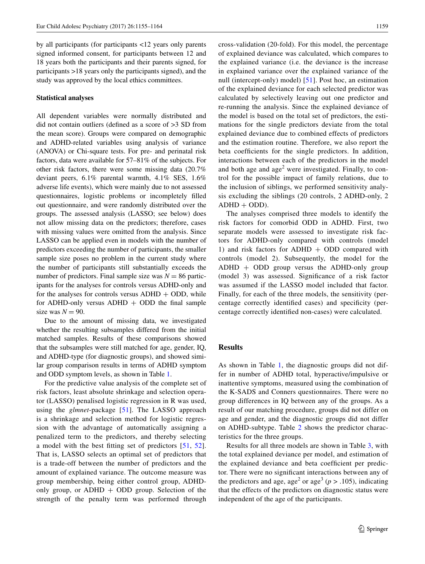by all participants (for participants <12 years only parents signed informed consent, for participants between 12 and 18 years both the participants and their parents signed, for participants >18 years only the participants signed), and the study was approved by the local ethics committees.

## **Statistical analyses**

All dependent variables were normally distributed and did not contain outliers (defned as a score of >3 SD from the mean score). Groups were compared on demographic and ADHD-related variables using analysis of variance (ANOVA) or Chi-square tests. For pre- and perinatal risk factors, data were available for 57–81% of the subjects. For other risk factors, there were some missing data (20.7% deviant peers, 6.1% parental warmth, 4.1% SES, 1.6% adverse life events), which were mainly due to not assessed questionnaires, logistic problems or incompletely flled out questionnaire, and were randomly distributed over the groups. The assessed analysis (LASSO; see below) does not allow missing data on the predictors; therefore, cases with missing values were omitted from the analysis. Since LASSO can be applied even in models with the number of predictors exceeding the number of participants, the smaller sample size poses no problem in the current study where the number of participants still substantially exceeds the number of predictors. Final sample size was  $N = 86$  participants for the analyses for controls versus ADHD-only and for the analyses for controls versus  $ADHD + ODD$ , while for ADHD-only versus ADHD  $+$  ODD the final sample size was  $N = 90$ .

Due to the amount of missing data, we investigated whether the resulting subsamples differed from the initial matched samples. Results of these comparisons showed that the subsamples were still matched for age, gender, IQ, and ADHD-type (for diagnostic groups), and showed similar group comparison results in terms of ADHD symptom and ODD symptom levels, as shown in Table [1.](#page-2-0)

For the predictive value analysis of the complete set of risk factors, least absolute shrinkage and selection operator (LASSO) penalised logistic regression in R was used, using the *glmnet*-package [[51](#page-9-21)]. The LASSO approach is a shrinkage and selection method for logistic regression with the advantage of automatically assigning a penalized term to the predictors, and thereby selecting a model with the best ftting set of predictors [[51](#page-9-21), [52](#page-9-22)]. That is, LASSO selects an optimal set of predictors that is a trade-off between the number of predictors and the amount of explained variance. The outcome measure was group membership, being either control group, ADHDonly group, or  $ADHD + ODD$  group. Selection of the strength of the penalty term was performed through cross-validation (20-fold). For this model, the percentage of explained deviance was calculated, which compares to the explained variance (i.e. the deviance is the increase in explained variance over the explained variance of the null (intercept-only) model) [\[51\]](#page-9-21). Post hoc, an estimation of the explained deviance for each selected predictor was calculated by selectively leaving out one predictor and re-running the analysis. Since the explained deviance of the model is based on the total set of predictors, the estimations for the single predictors deviate from the total explained deviance due to combined effects of predictors and the estimation routine. Therefore, we also report the beta coefficients for the single predictors. In addition, interactions between each of the predictors in the model and both age and  $age<sup>2</sup>$  were investigated. Finally, to control for the possible impact of family relations, due to the inclusion of siblings, we performed sensitivity analysis excluding the siblings (20 controls, 2 ADHD-only, 2  $ADHD + ODD$ ).

The analyses comprised three models to identify the risk factors for comorbid ODD in ADHD. First, two separate models were assessed to investigate risk factors for ADHD-only compared with controls (model 1) and risk factors for ADHD  $+$  ODD compared with controls (model 2). Subsequently, the model for the  $ADHD + ODD$  group versus the ADHD-only group (model 3) was assessed. Signifcance of a risk factor was assumed if the LASSO model included that factor. Finally, for each of the three models, the sensitivity (percentage correctly identifed cases) and specifcity (percentage correctly identifed non-cases) were calculated.

## **Results**

As shown in Table [1,](#page-2-0) the diagnostic groups did not differ in number of ADHD total, hyperactive/impulsive or inattentive symptoms, measured using the combination of the K-SADS and Conners questionnaires. There were no group differences in IQ between any of the groups. As a result of our matching procedure, groups did not differ on age and gender, and the diagnostic groups did not differ on ADHD-subtype. Table [2](#page-5-0) shows the predictor characteristics for the three groups.

Results for all three models are shown in Table [3,](#page-5-1) with the total explained deviance per model, and estimation of the explained deviance and beta coefficient per predictor. There were no signifcant interactions between any of the predictors and age, age<sup>2</sup> or age<sup>3</sup> ( $p > .105$ ), indicating that the effects of the predictors on diagnostic status were independent of the age of the participants.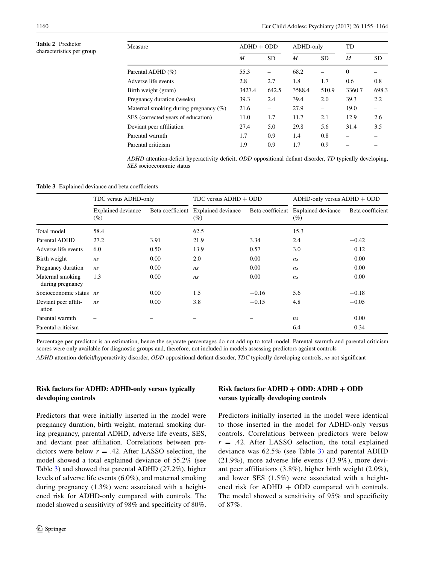#### <span id="page-5-0"></span>**Table 2** Predictor characteristics per group

| Measure                               | $ADHD + ODD$ |           | ADHD-only |           | TD               |           |
|---------------------------------------|--------------|-----------|-----------|-----------|------------------|-----------|
|                                       | M            | <b>SD</b> | M         | <b>SD</b> | $\boldsymbol{M}$ | <b>SD</b> |
| Parental ADHD (%)                     | 55.3         |           | 68.2      |           | $\Omega$         |           |
| Adverse life events                   | 2.8          | 2.7       | 1.8       | 1.7       | 0.6              | 0.8       |
| Birth weight (gram)                   | 3427.4       | 642.5     | 3588.4    | 510.9     | 3360.7           | 698.3     |
| Pregnancy duration (weeks)            | 39.3         | 2.4       | 39.4      | 2.0       | 39.3             | 2.2       |
| Maternal smoking during pregnancy (%) | 21.6         |           | 27.9      | -         | 19.0             |           |
| SES (corrected years of education)    | 11.0         | 1.7       | 11.7      | 2.1       | 12.9             | 2.6       |
| Deviant peer affiliation              | 27.4         | 5.0       | 29.8      | 5.6       | 31.4             | 3.5       |
| Parental warmth                       | 1.7          | 0.9       | 1.4       | 0.8       |                  |           |
| Parental criticism                    | 1.9          | 0.9       | 1.7       | 0.9       |                  |           |

*ADHD* attention-defcit hyperactivity defcit, *ODD* oppositional defant disorder, *TD* typically developing, *SES* socioeconomic status

#### <span id="page-5-1"></span>Table 3 Explained deviance and beta coefficients

|                                      | TDC versus ADHD-only                |      | $TDC$ versus $ADHD + ODD$                  |         | $ADHD$ -only versus $ADHD + ODD$           |                  |  |
|--------------------------------------|-------------------------------------|------|--------------------------------------------|---------|--------------------------------------------|------------------|--|
|                                      | <b>Explained deviance</b><br>$(\%)$ |      | Beta coefficient Explained deviance<br>(%) |         | Beta coefficient Explained deviance<br>(%) | Beta coefficient |  |
| Total model                          | 58.4                                |      | 62.5                                       |         | 15.3                                       |                  |  |
| Parental ADHD                        | 27.2                                | 3.91 | 21.9                                       | 3.34    | 2.4                                        | $-0.42$          |  |
| Adverse life events                  | 6.0                                 | 0.50 | 13.9                                       | 0.57    | 3.0                                        | 0.12             |  |
| Birth weight                         | ns                                  | 0.00 | 2.0                                        | 0.00    | ns                                         | 0.00             |  |
| Pregnancy duration                   | ns                                  | 0.00 | ns                                         | 0.00    | ns                                         | 0.00             |  |
| Maternal smoking<br>during pregnancy | 1.3                                 | 0.00 | ns                                         | 0.00    | ns                                         | 0.00             |  |
| Socioeconomic status ns              |                                     | 0.00 | 1.5                                        | $-0.16$ | 5.6                                        | $-0.18$          |  |
| Deviant peer affili-<br>ation        | ns                                  | 0.00 | 3.8                                        | $-0.15$ | 4.8                                        | $-0.05$          |  |
| Parental warmth                      |                                     |      |                                            |         | ns                                         | 0.00             |  |
| Parental criticism                   | -                                   |      |                                            |         | 6.4                                        | 0.34             |  |

Percentage per predictor is an estimation, hence the separate percentages do not add up to total model. Parental warmth and parental criticism scores were only available for diagnostic groups and, therefore, not included in models assessing predictors against controls

*ADHD* attention-defcit/hyperactivity disorder, *ODD* oppositional defant disorder, *TDC* typically developing controls, *ns* not signifcant

## **Risk factors for ADHD: ADHD‑only versus typically developing controls**

Predictors that were initially inserted in the model were pregnancy duration, birth weight, maternal smoking during pregnancy, parental ADHD, adverse life events, SES, and deviant peer affliation. Correlations between predictors were below  $r = .42$ . After LASSO selection, the model showed a total explained deviance of 55.2% (see Table [3](#page-5-1)) and showed that parental ADHD (27.2%), higher levels of adverse life events (6.0%), and maternal smoking during pregnancy (1.3%) were associated with a heightened risk for ADHD-only compared with controls. The model showed a sensitivity of 98% and specifcity of 80%.

# **Risk factors for ADHD + ODD: ADHD + ODD versus typically developing controls**

Predictors initially inserted in the model were identical to those inserted in the model for ADHD-only versus controls. Correlations between predictors were below  $r = .42$ . After LASSO selection, the total explained deviance was 62.5% (see Table [3\)](#page-5-1) and parental ADHD (21.9%), more adverse life events (13.9%), more deviant peer affiliations (3.8%), higher birth weight (2.0%), and lower SES (1.5%) were associated with a heightened risk for  $ADHD + ODD$  compared with controls. The model showed a sensitivity of 95% and specificity of 87%.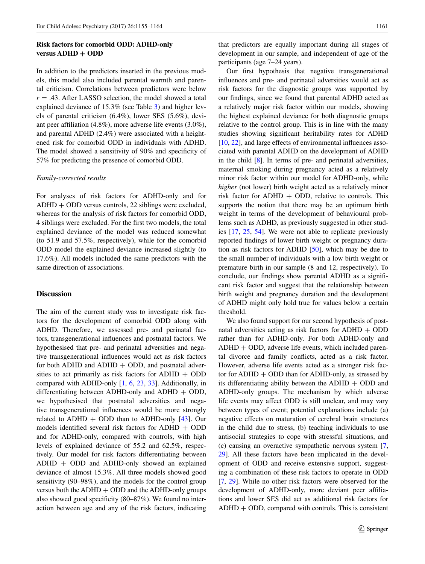## **Risk factors for comorbid ODD: ADHD‑only versus ADHD + ODD**

In addition to the predictors inserted in the previous models, this model also included parental warmth and parental criticism. Correlations between predictors were below  $r = .43$ . After LASSO selection, the model showed a total explained deviance of 15.3% (see Table [3](#page-5-1)) and higher levels of parental criticism (6.4%), lower SES (5.6%), deviant peer affliation (4.8%), more adverse life events (3.0%), and parental ADHD (2.4%) were associated with a heightened risk for comorbid ODD in individuals with ADHD. The model showed a sensitivity of 90% and specifcity of 57% for predicting the presence of comorbid ODD.

## *Family‑corrected results*

For analyses of risk factors for ADHD-only and for ADHD + ODD versus controls, 22 siblings were excluded, whereas for the analysis of risk factors for comorbid ODD, 4 siblings were excluded. For the frst two models, the total explained deviance of the model was reduced somewhat (to 51.9 and 57.5%, respectively), while for the comorbid ODD model the explained deviance increased slightly (to 17.6%). All models included the same predictors with the same direction of associations.

## **Discussion**

The aim of the current study was to investigate risk factors for the development of comorbid ODD along with ADHD. Therefore, we assessed pre- and perinatal factors, transgenerational infuences and postnatal factors. We hypothesised that pre- and perinatal adversities and negative transgenerational infuences would act as risk factors for both ADHD and ADHD  $+$  ODD, and postnatal adversities to act primarily as risk factors for  $ADHD + ODD$ compared with ADHD-only [\[1](#page-8-4), [6](#page-8-3), [23,](#page-9-11) [33](#page-9-13)]. Additionally, in differentiating between ADHD-only and  $ADHD + ODD$ , we hypothesised that postnatal adversities and negative transgenerational infuences would be more strongly related to ADHD + ODD than to ADHD-only  $[43]$  $[43]$ . Our models identified several risk factors for  $ADHD + ODD$ and for ADHD-only, compared with controls, with high levels of explained deviance of 55.2 and 62.5%, respectively. Our model for risk factors differentiating between ADHD + ODD and ADHD-only showed an explained deviance of almost 15.3%. All three models showed good sensitivity (90–98%), and the models for the control group versus both the  $ADHD + ODD$  and the  $ADHD$ -only groups also showed good specifcity (80–87%). We found no interaction between age and any of the risk factors, indicating

that predictors are equally important during all stages of development in our sample, and independent of age of the participants (age 7–24 years).

Our frst hypothesis that negative transgenerational infuences and pre- and perinatal adversities would act as risk factors for the diagnostic groups was supported by our fndings, since we found that parental ADHD acted as a relatively major risk factor within our models, showing the highest explained deviance for both diagnostic groups relative to the control group. This is in line with the many studies showing signifcant heritability rates for ADHD [\[10](#page-8-12), [22](#page-9-23)], and large effects of environmental infuences associated with parental ADHD on the development of ADHD in the child  $[8]$  $[8]$ . In terms of pre- and perinatal adversities, maternal smoking during pregnancy acted as a relatively minor risk factor within our model for ADHD-only, while *higher* (not lower) birth weight acted as a relatively minor risk factor for  $ADHD + ODD$ , relative to controls. This supports the notion that there may be an optimum birth weight in terms of the development of behavioural problems such as ADHD, as previously suggested in other studies [\[17](#page-8-14), [25](#page-9-24), [54\]](#page-9-25). We were not able to replicate previously reported fndings of lower birth weight or pregnancy duration as risk factors for ADHD [\[50](#page-9-1)], which may be due to the small number of individuals with a low birth weight or premature birth in our sample (8 and 12, respectively). To conclude, our fndings show parental ADHD as a signifcant risk factor and suggest that the relationship between birth weight and pregnancy duration and the development of ADHD might only hold true for values below a certain threshold.

We also found support for our second hypothesis of postnatal adversities acting as risk factors for  $ADHD + ODD$ rather than for ADHD-only. For both ADHD-only and  $ADHD + ODD$ , adverse life events, which included parental divorce and family conficts, acted as a risk factor. However, adverse life events acted as a stronger risk factor for  $ADHD + ODD$  than for  $ADHD$ -only, as stressed by its differentiating ability between the  $ADHD + ODD$  and ADHD-only groups. The mechanism by which adverse life events may affect ODD is still unclear, and may vary between types of event; potential explanations include (a) negative effects on maturation of cerebral brain structures in the child due to stress, (b) teaching individuals to use antisocial strategies to cope with stressful situations, and (c) causing an overactive sympathetic nervous system [[7,](#page-8-15) [29](#page-9-26)]. All these factors have been implicated in the development of ODD and receive extensive support, suggesting a combination of these risk factors to operate in ODD [\[7](#page-8-15), [29\]](#page-9-26). While no other risk factors were observed for the development of ADHD-only, more deviant peer affliations and lower SES did act as additional risk factors for  $ADHD + ODD$ , compared with controls. This is consistent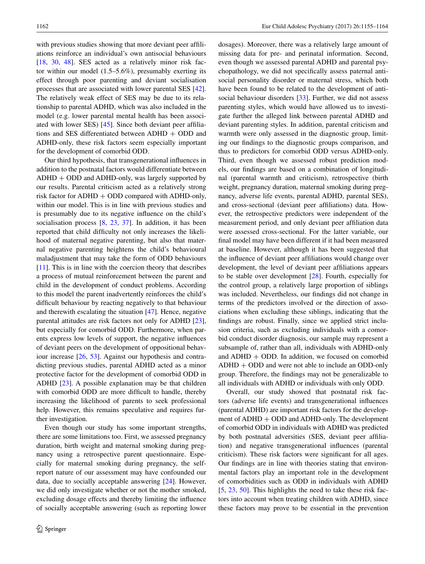with previous studies showing that more deviant peer affliations reinforce an individual's own antisocial behaviours [\[18](#page-8-16), [30,](#page-9-27) [48\]](#page-9-28). SES acted as a relatively minor risk factor within our model (1.5–5.6%), presumably exerting its effect through poor parenting and deviant socialisation processes that are associated with lower parental SES [\[42](#page-9-29)]. The relatively weak effect of SES may be due to its relationship to parental ADHD, which was also included in the model (e.g. lower parental mental health has been associated with lower SES) [\[45](#page-9-30)]. Since both deviant peer affliations and SES differentiated between  $ADHD + ODD$  and ADHD-only, these risk factors seem especially important for the development of comorbid ODD.

Our third hypothesis, that transgenerational infuences in addition to the postnatal factors would differentiate between  $ADHD + ODD$  and  $ADHD$ -only, was largely supported by our results. Parental criticism acted as a relatively strong risk factor for  $ADHD + ODD$  compared with  $ADHD$ -only, within our model. This is in line with previous studies and is presumably due to its negative infuence on the child's socialisation process [[8,](#page-8-13) [23](#page-9-11), [37](#page-9-12)]. In addition, it has been reported that child diffculty not only increases the likelihood of maternal negative parenting, but also that maternal negative parenting heightens the child's behavioural maladjustment that may take the form of ODD behaviours [\[11](#page-8-17)]. This is in line with the coercion theory that describes a process of mutual reinforcement between the parent and child in the development of conduct problems. According to this model the parent inadvertently reinforces the child's diffcult behaviour by reacting negatively to that behaviour and therewith escalating the situation [[47\]](#page-9-31). Hence, negative parental attitudes are risk factors not only for ADHD [\[23](#page-9-11)], but especially for comorbid ODD. Furthermore, when parents express low levels of support, the negative infuences of deviant peers on the development of oppositional behaviour increase [\[26](#page-9-32), [53](#page-9-33)]. Against our hypothesis and contradicting previous studies, parental ADHD acted as a minor protective factor for the development of comorbid ODD in ADHD [[23\]](#page-9-11). A possible explanation may be that children with comorbid ODD are more diffcult to handle, thereby increasing the likelihood of parents to seek professional help. However, this remains speculative and requires further investigation.

Even though our study has some important strengths, there are some limitations too. First, we assessed pregnancy duration, birth weight and maternal smoking during pregnancy using a retrospective parent questionnaire. Especially for maternal smoking during pregnancy, the selfreport nature of our assessment may have confounded our data, due to socially acceptable answering [[24\]](#page-9-34). However, we did only investigate whether or not the mother smoked, excluding dosage effects and thereby limiting the infuence of socially acceptable answering (such as reporting lower dosages). Moreover, there was a relatively large amount of missing data for pre- and perinatal information. Second, even though we assessed parental ADHD and parental psychopathology, we did not specifcally assess paternal antisocial personality disorder or maternal stress, which both have been found to be related to the development of anti-social behaviour disorders [\[33](#page-9-13)]. Further, we did not assess parenting styles, which would have allowed us to investigate further the alleged link between parental ADHD and deviant parenting styles. In addition, parental criticism and warmth were only assessed in the diagnostic group, limiting our fndings to the diagnostic groups comparison, and thus to predictors for comorbid ODD versus ADHD-only. Third, even though we assessed robust prediction models, our fndings are based on a combination of longitudinal (parental warmth and criticism), retrospective (birth weight, pregnancy duration, maternal smoking during pregnancy, adverse life events, parental ADHD, parental SES), and cross-sectional (deviant peer affliations) data. However, the retrospective predictors were independent of the measurement period, and only deviant peer affliation data were assessed cross-sectional. For the latter variable, our fnal model may have been different if it had been measured at baseline. However, although it has been suggested that the infuence of deviant peer affliations would change over development, the level of deviant peer affliations appears to be stable over development [[28\]](#page-9-35). Fourth, especially for the control group, a relatively large proportion of siblings was included. Nevertheless, our fndings did not change in terms of the predictors involved or the direction of associations when excluding these siblings, indicating that the fndings are robust. Finally, since we applied strict inclusion criteria, such as excluding individuals with a comorbid conduct disorder diagnosis, our sample may represent a subsample of, rather than all, individuals with ADHD-only and  $ADHD + ODD$ . In addition, we focused on comorbid ADHD + ODD and were not able to include an ODD-only group. Therefore, the fndings may not be generalizable to all individuals with ADHD or individuals with only ODD.

Overall, our study showed that postnatal risk factors (adverse life events) and transgenerational infuences (parental ADHD) are important risk factors for the development of  $ADHD + ODD$  and  $ADHD$ -only. The development of comorbid ODD in individuals with ADHD was predicted by both postnatal adversities (SES, deviant peer affliation) and negative transgenerational infuences (parental criticism). These risk factors were signifcant for all ages. Our fndings are in line with theories stating that environmental factors play an important role in the development of comorbidities such as ODD in individuals with ADHD [\[5](#page-8-18), [23](#page-9-11), [50\]](#page-9-1). This highlights the need to take these risk factors into account when treating children with ADHD, since these factors may prove to be essential in the prevention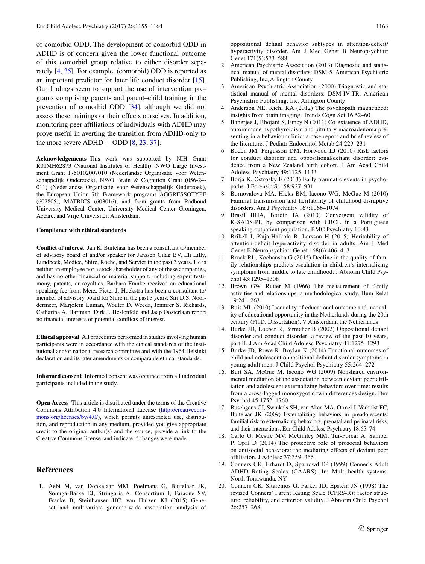of comorbid ODD. The development of comorbid ODD in ADHD is of concern given the lower functional outcome of this comorbid group relative to either disorder separately [[4,](#page-8-2) [35\]](#page-9-8). For example, (comorbid) ODD is reported as an important predictor for later life conduct disorder [\[15](#page-8-19)]. Our fndings seem to support the use of intervention programs comprising parent- and parent–child training in the prevention of comorbid ODD [\[34](#page-9-9)], although we did not assess these trainings or their effects ourselves. In addition, monitoring peer affliations of individuals with ADHD may prove useful in averting the transition from ADHD-only to the more severe  $ADHD + ODD [8, 23, 37]$  $ADHD + ODD [8, 23, 37]$  $ADHD + ODD [8, 23, 37]$  $ADHD + ODD [8, 23, 37]$  $ADHD + ODD [8, 23, 37]$  $ADHD + ODD [8, 23, 37]$  $ADHD + ODD [8, 23, 37]$ .

**Acknowledgements** This work was supported by NIH Grant R01MH62873 (National Institutes of Health), NWO Large Investment Grant 1750102007010 (Nederlandse Organisatie voor Wetenschappelijk Onderzoek), NWO Brain & Cognition Grant (056-24- 011) (Nederlandse Organisatie voor Wetenschappelijk Onderzoek), the European Union 7th Framework programs AGGRESSOTYPE (602805), MATRICS (603016), and from grants from Radboud University Medical Center, University Medical Center Groningen, Accare, and Vrije Universiteit Amsterdam.

#### **Compliance with ethical standards**

**Confict of interest** Jan K. Buitelaar has been a consultant to/member of advisory board of and/or speaker for Janssen Cilag BV, Eli Lilly, Lundbeck, Medice, Shire, Roche, and Servier in the past 3 years. He is neither an employee nor a stock shareholder of any of these companies, and has no other fnancial or material support, including expert testimony, patents, or royalties. Barbara Franke received an educational speaking fee from Merz. Pieter J. Hoekstra has been a consultant to/ member of advisory board for Shire in the past 3 years. Siri D.S. Noordermeer, Marjolein Luman, Wouter D. Weeda, Jennifer S. Richards, Catharina A. Hartman, Dirk J. Heslenfeld and Jaap Oosterlaan report no fnancial interests or potential conficts of interest.

**Ethical approval** All procedures performed in studies involving human participants were in accordance with the ethical standards of the institutional and/or national research committee and with the 1964 Helsinki declaration and its later amendments or comparable ethical standards.

**Informed consent** Informed consent was obtained from all individual participants included in the study.

**Open Access** This article is distributed under the terms of the Creative Commons Attribution 4.0 International License ([http://creativecom](http://creativecommons.org/licenses/by/4.0/)[mons.org/licenses/by/4.0/](http://creativecommons.org/licenses/by/4.0/)), which permits unrestricted use, distribution, and reproduction in any medium, provided you give appropriate credit to the original author(s) and the source, provide a link to the Creative Commons license, and indicate if changes were made.

## **References**

<span id="page-8-4"></span>1. Aebi M, van Donkelaar MM, Poelmans G, Buitelaar JK, Sonuga-Barke EJ, Stringaris A, Consortium I, Faraone SV, Franke B, Steinhausen HC, van Hulzen KJ (2015) Geneset and multivariate genome-wide association analysis of oppositional defant behavior subtypes in attention-defcit/ hyperactivity disorder. Am J Med Genet B Neuropsychiatr Genet 171(5):573–588

- <span id="page-8-0"></span>2. American Psychiatric Association (2013) Diagnostic and statistical manual of mental disorders: DSM-5. American Psychiatric Publishing, Inc, Arlington County
- <span id="page-8-7"></span>3. American Psychiatric Association (2000) Diagnostic and statistical manual of mental disorders: DSM-IV-TR. American Psychiatric Publishing, Inc, Arlington County
- <span id="page-8-2"></span>4. Anderson NE, Kiehl KA (2012) The psychopath magnetized: insights from brain imaging. Trends Cogn Sci 16:52–60
- <span id="page-8-18"></span>5. Banerjee J, Bhojani S, Emcy N (2011) Co-existence of ADHD, autoimmune hypothyroidism and pituitary macroadenoma presenting in a behaviour clinic: a case report and brief review of the literature. J Pediatr Endocrinol Metab 24:229–231
- <span id="page-8-3"></span>6. Boden JM, Fergusson DM, Horwood LJ (2010) Risk factors for conduct disorder and oppositional/defant disorder: evidence from a New Zealand birth cohort. J Am Acad Child Adolesc Psychiatry 49:1125–1133
- <span id="page-8-15"></span>7. Borja K, Ostrosky F (2013) Early traumatic events in psychopaths. J Forensic Sci 58:927–931
- <span id="page-8-13"></span>8. Bornovalova MA, Hicks BM, Iacono WG, McGue M (2010) Familial transmission and heritability of childhood disruptive disorders. Am J Psychiatry 167:1066–1074
- <span id="page-8-8"></span>9. Brasil HHA, Bordin IA (2010) Convergent validity of K-SADS-PL by comparison with CBCL in a Portuguese speaking outpatient population. BMC Psychiatry 10:83
- <span id="page-8-12"></span>10. Brikell I, Kuja-Halkola R, Larsson H (2015) Heritability of attention-deficit hyperactivity disorder in adults. Am J Med Genet B Neuropsychiatr Genet 168(6):406–413
- <span id="page-8-17"></span>11. Brock RL, Kochanska G (2015) Decline in the quality of family relationships predicts escalation in children's internalizing symptoms from middle to late childhood. J Abnorm Child Psychol 43:1295–1308
- <span id="page-8-11"></span>12. Brown GW, Rutter M (1966) The measurement of family activities and relationships: a methodological study. Hum Relat 19:241–263
- <span id="page-8-9"></span>13. Buis ML (2010) Inequality of educational outcome and inequality of educational opportunity in the Netherlands during the 20th century (Ph.D. Dissertation). V Amsterdam, the Netherlands
- <span id="page-8-1"></span>14. Burke JD, Loeber R, Birmaher B (2002) Oppositional defant disorder and conduct disorder: a review of the past 10 years, part II. J Am Acad Child Adolesc Psychiatry 41:1275–1293
- <span id="page-8-19"></span>15. Burke JD, Rowe R, Boylan K (2014) Functional outcomes of child and adolescent oppositional defant disorder symptoms in young adult men. J Child Psychol Psychiatry 55:264–272
- <span id="page-8-10"></span>16. Burt SA, McGue M, Iacono WG (2009) Nonshared environmental mediation of the association between deviant peer affliation and adolescent externalizing behaviors over time: results from a cross-lagged monozygotic twin differences design. Dev Psychol 45:1752–1760
- <span id="page-8-14"></span>17. Buschgens CJ, Swinkels SH, van Aken MA, Ormel J, Verhulst FC, Buitelaar JK (2009) Externalizing behaviors in preadolescents: familial risk to externalizing behaviors, prenatal and perinatal risks, and their interactions. Eur Child Adolesc Psychiatry 18:65–74
- <span id="page-8-16"></span>18. Carlo G, Mestre MV, McGinley MM, Tur-Porcar A, Samper P, Opal D (2014) The protective role of prosocial behaviors on antisocial behaviors: the mediating effects of deviant peer affliation. J Adolesc 37:359–366
- <span id="page-8-6"></span>19. Conners CK, Erhardt D, Sparrowd EP (1999) Conner's Adult ADHD Rating Scales (CAARS). In: Multi-health systems. North Tonawanda, NY
- <span id="page-8-5"></span>20. Conners CK, Sitarenios G, Parker JD, Epstein JN (1998) The revised Conners' Parent Rating Scale (CPRS-R): factor structure, reliability, and criterion validity. J Abnorm Child Psychol 26:257–268